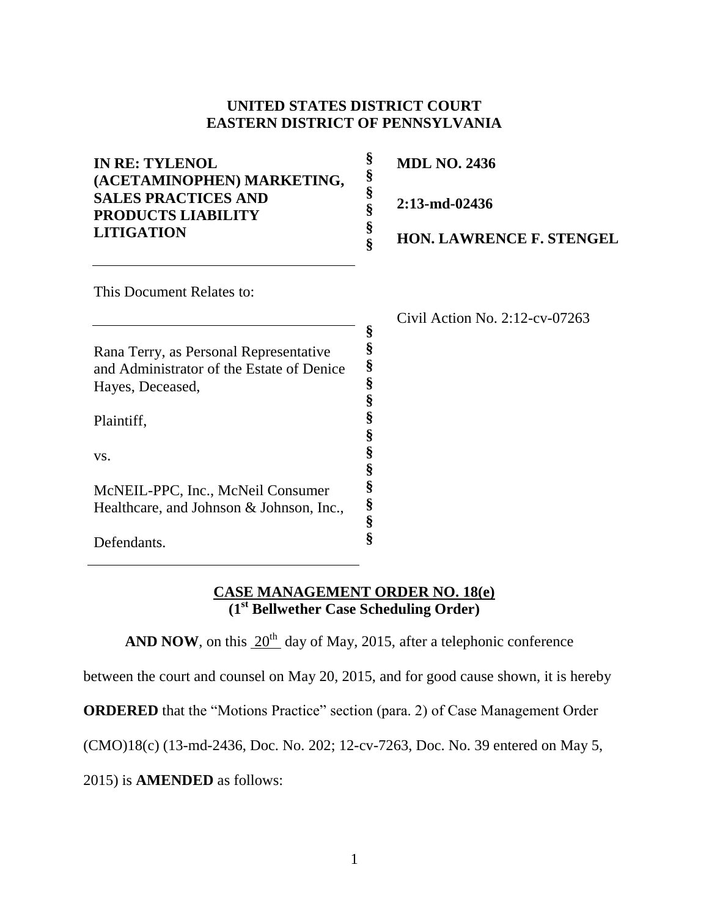## **UNITED STATES DISTRICT COURT EASTERN DISTRICT OF PENNSYLVANIA**

| <b>IN RE: TYLENOL</b><br>(ACETAMINOPHEN) MARKETING,<br><b>SALES PRACTICES AND</b><br><b>PRODUCTS LIABILITY</b> | §  | <b>MDL NO. 2436</b><br>$2:13$ -md-02436 |
|----------------------------------------------------------------------------------------------------------------|----|-----------------------------------------|
| <b>LITIGATION</b>                                                                                              |    | <b>HON. LAWRENCE F. STENGEL</b>         |
| This Document Relates to:                                                                                      |    |                                         |
|                                                                                                                |    | Civil Action No. $2:12$ -cv-07263       |
|                                                                                                                | §  |                                         |
| Rana Terry, as Personal Representative<br>and Administrator of the Estate of Denice                            | \$ |                                         |
| Hayes, Deceased,                                                                                               |    |                                         |
|                                                                                                                |    |                                         |
| Plaintiff,                                                                                                     |    |                                         |
|                                                                                                                |    |                                         |

**§ § § § § §**

## **CASE MANAGEMENT ORDER NO. 18(e) (1st Bellwether Case Scheduling Order)**

**AND NOW**, on this  $20^{th}$  day of May, 2015, after a telephonic conference

between the court and counsel on May 20, 2015, and for good cause shown, it is hereby

**ORDERED** that the "Motions Practice" section (para. 2) of Case Management Order

(CMO)18(c) (13-md-2436, Doc. No. 202; 12-cv-7263, Doc. No. 39 entered on May 5,

2015) is **AMENDED** as follows:

McNEIL-PPC, Inc., McNeil Consumer Healthcare, and Johnson & Johnson, Inc.,

vs.

Defendants.